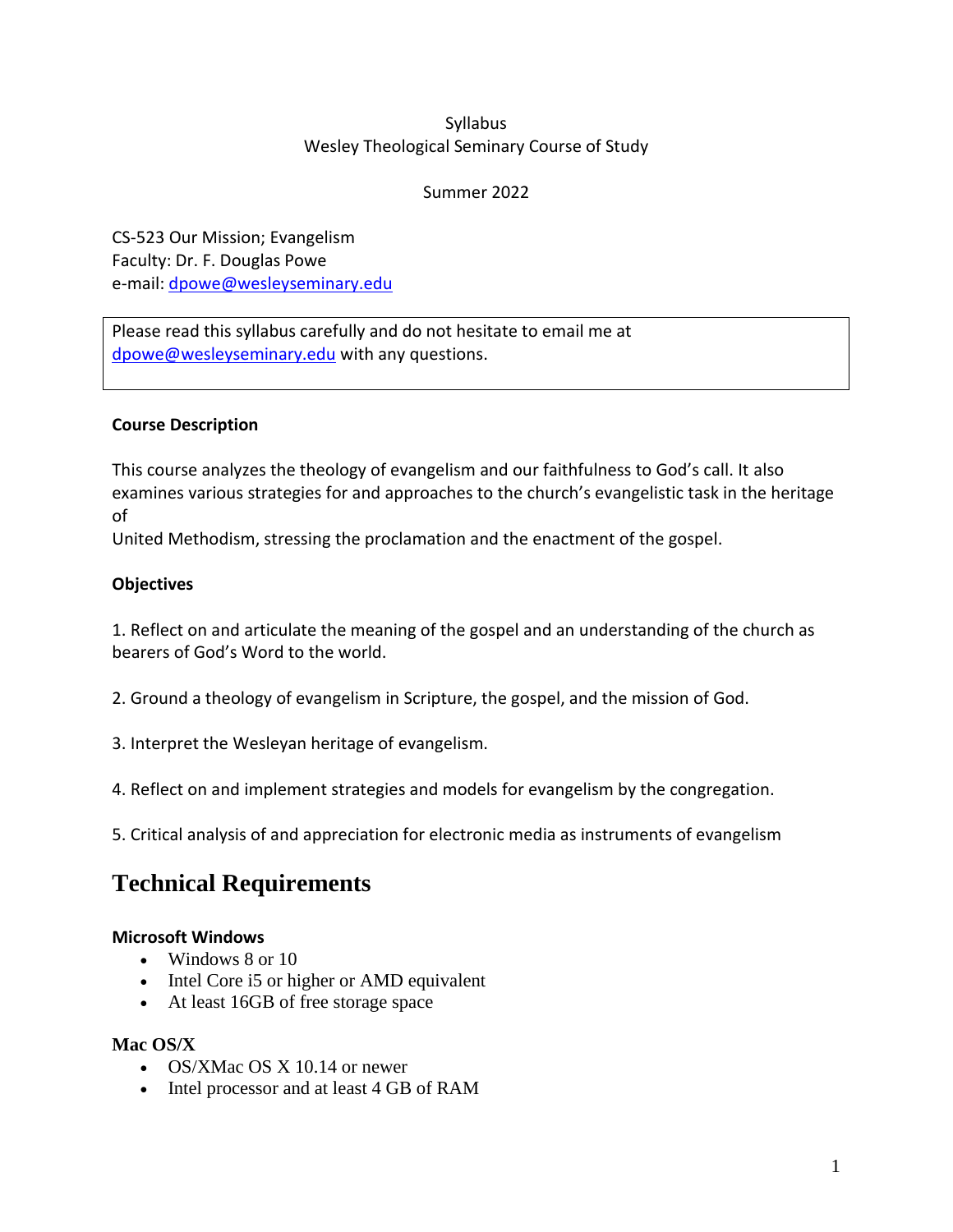# Syllabus Wesley Theological Seminary Course of Study

### Summer 2022

CS-523 Our Mission; Evangelism Faculty: Dr. F. Douglas Powe e-mail: [dpowe@wesleyseminary.edu](mailto:dpowe@wesleyseminary.edu)

Please read this syllabus carefully and do not hesitate to email me at [dpowe@wesleyseminary.edu](mailto:dpowe@wesleyseminary.edu) with any questions.

# **Course Description**

This course analyzes the theology of evangelism and our faithfulness to God's call. It also examines various strategies for and approaches to the church's evangelistic task in the heritage of

United Methodism, stressing the proclamation and the enactment of the gospel.

### **Objectives**

1. Reflect on and articulate the meaning of the gospel and an understanding of the church as bearers of God's Word to the world.

2. Ground a theology of evangelism in Scripture, the gospel, and the mission of God.

3. Interpret the Wesleyan heritage of evangelism.

4. Reflect on and implement strategies and models for evangelism by the congregation.

5. Critical analysis of and appreciation for electronic media as instruments of evangelism

# **Technical Requirements**

# **Microsoft Windows**

- Windows 8 or 10
- Intel Core is or higher or AMD equivalent
- At least 16GB of free storage space

# **Mac OS/X**

- OS/XMac OS X 10.14 or newer
- Intel processor and at least 4 GB of RAM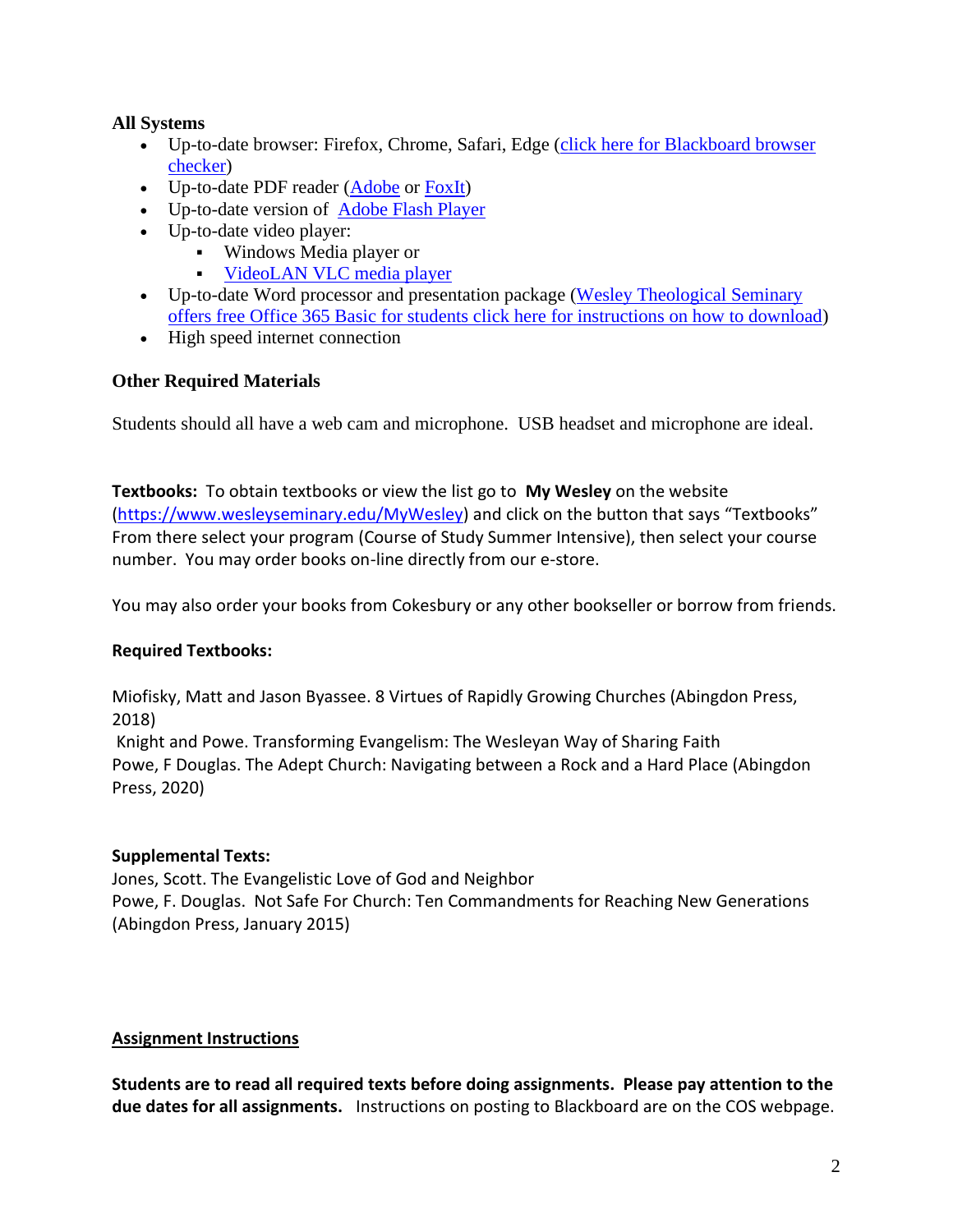# **All Systems**

- Up-to-date browser: Firefox, Chrome, Safari, Edge (click here for Blackboard browser [checker\)](https://help.blackboard.com/Learn/Student/Getting_Started/Browser_Support/Browser_Checker)
- Up-to-date PDF reader [\(Adobe](https://get.adobe.com/reader/) or [FoxIt\)](https://www.foxitsoftware.com/pdf-reader/)
- Up-to-date version of **[Adobe Flash Player](http://get.adobe.com/flashplayer/)**
- Up-to-date video player:
	- Windows Media player or
	- VideoLAN [VLC media player](http://www.videolan.org/vlc/download-macosx.html)
- Up-to-date Word processor and presentation package (Wesley Theological Seminary [offers free Office 365 Basic for students click here for instructions on how to download\)](https://www.wesleyseminary.edu/wp-content/uploads/2020/03/Instructions-on-installing-word-at-home.pdf)
- High speed internet connection

# **Other Required Materials**

Students should all have a web cam and microphone. USB headset and microphone are ideal.

**Textbooks:** To obtain textbooks or view the list go to **My Wesley** on the website [\(https://www.wesleyseminary.edu/MyWesley\)](https://www.wesleyseminary.edu/MyWesley) and click on the button that says "Textbooks" From there select your program (Course of Study Summer Intensive), then select your course number. You may order books on-line directly from our e-store.

You may also order your books from Cokesbury or any other bookseller or borrow from friends.

# **Required Textbooks:**

Miofisky, Matt and Jason Byassee. 8 Virtues of Rapidly Growing Churches (Abingdon Press, 2018)

Knight and Powe. Transforming Evangelism: The Wesleyan Way of Sharing Faith Powe, F Douglas. The Adept Church: Navigating between a Rock and a Hard Place (Abingdon Press, 2020)

# **Supplemental Texts:**

Jones, Scott. The Evangelistic Love of God and Neighbor Powe, F. Douglas. Not Safe For Church: Ten Commandments for Reaching New Generations (Abingdon Press, January 2015)

# **Assignment Instructions**

**Students are to read all required texts before doing assignments. Please pay attention to the due dates for all assignments.** Instructions on posting to Blackboard are on the COS webpage.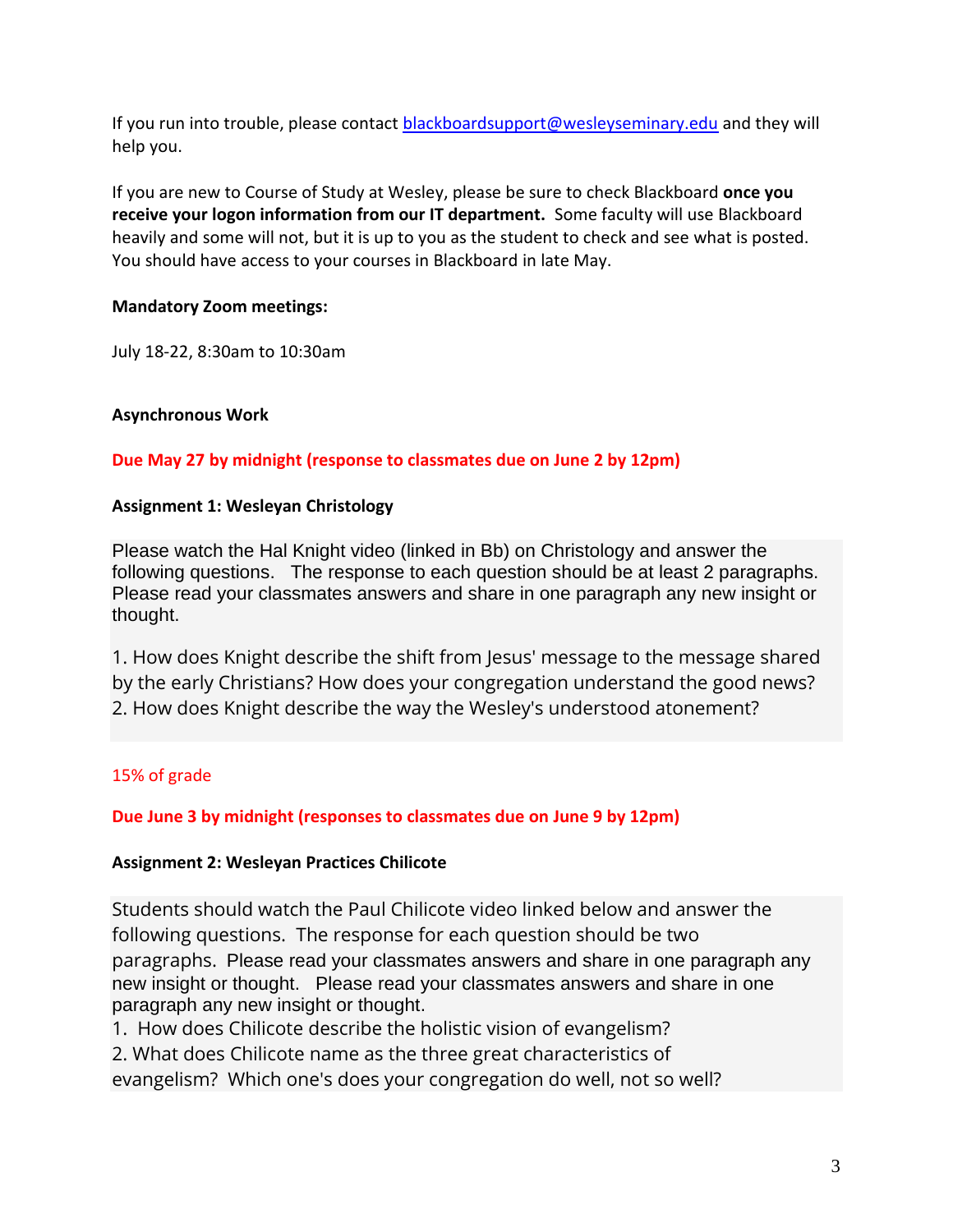If you run into trouble, please contact [blackboardsupport@wesleyseminary.edu](mailto:blackboardsupport@wesleyseminary.edu) and they will help you.

If you are new to Course of Study at Wesley, please be sure to check Blackboard **once you receive your logon information from our IT department.** Some faculty will use Blackboard heavily and some will not, but it is up to you as the student to check and see what is posted. You should have access to your courses in Blackboard in late May.

# **Mandatory Zoom meetings:**

July 18-22, 8:30am to 10:30am

# **Asynchronous Work**

# **Due May 27 by midnight (response to classmates due on June 2 by 12pm)**

# **Assignment 1: Wesleyan Christology**

Please watch the Hal Knight video (linked in Bb) on Christology and answer the following questions. The response to each question should be at least 2 paragraphs. Please read your classmates answers and share in one paragraph any new insight or thought.

1. How does Knight describe the shift from Jesus' message to the message shared by the early Christians? How does your congregation understand the good news? 2. How does Knight describe the way the Wesley's understood atonement?

# 15% of grade

# **Due June 3 by midnight (responses to classmates due on June 9 by 12pm)**

# **Assignment 2: Wesleyan Practices Chilicote**

Students should watch the Paul Chilicote video linked below and answer the following questions. The response for each question should be two paragraphs. Please read your classmates answers and share in one paragraph any new insight or thought. Please read your classmates answers and share in one paragraph any new insight or thought.

1. How does Chilicote describe the holistic vision of evangelism?

2. What does Chilicote name as the three great characteristics of

evangelism? Which one's does your congregation do well, not so well?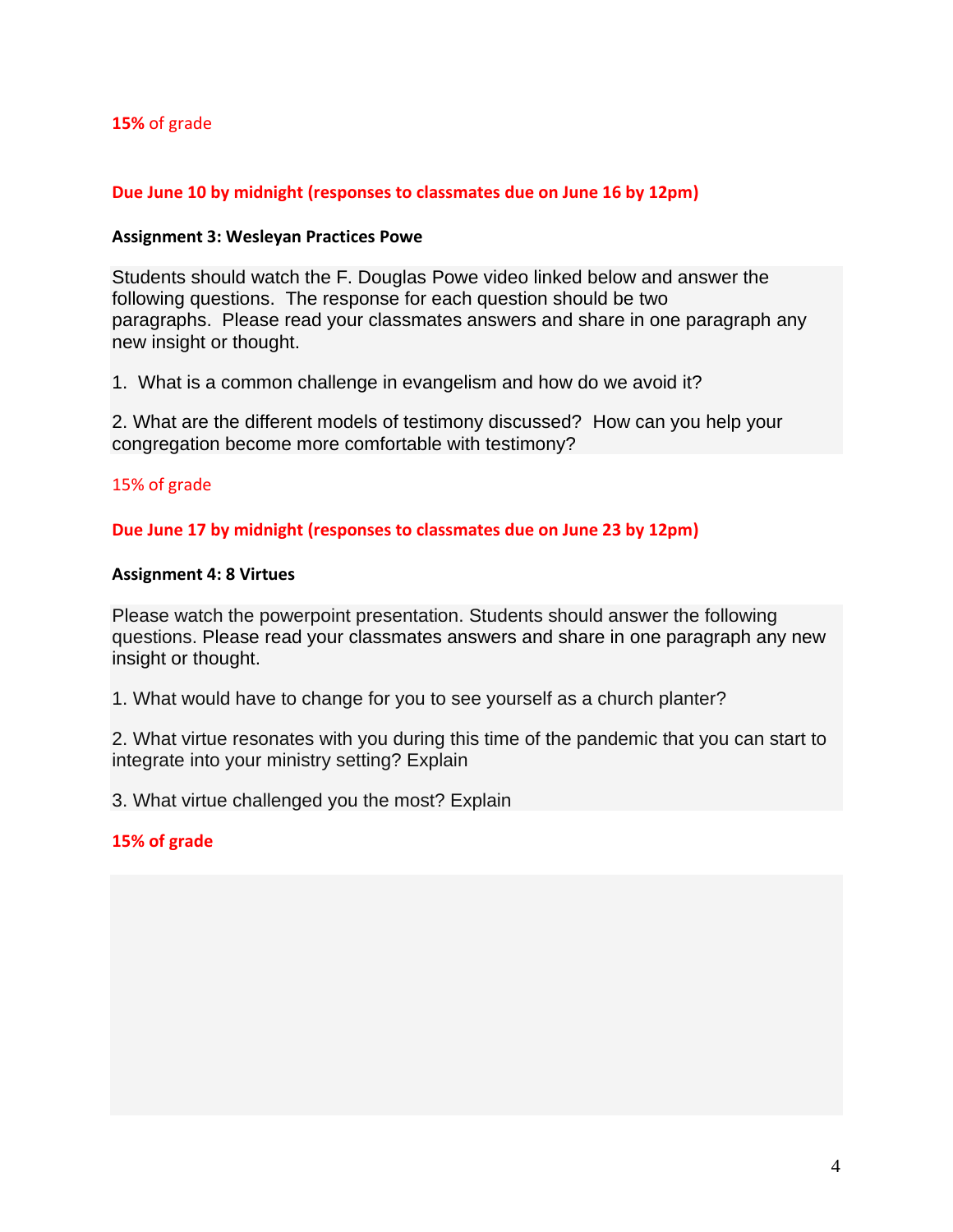### **15%** of grade

### **Due June 10 by midnight (responses to classmates due on June 16 by 12pm)**

#### **Assignment 3: Wesleyan Practices Powe**

Students should watch the F. Douglas Powe video linked below and answer the following questions. The response for each question should be two paragraphs. Please read your classmates answers and share in one paragraph any new insight or thought.

1. What is a common challenge in evangelism and how do we avoid it?

2. What are the different models of testimony discussed? How can you help your congregation become more comfortable with testimony?

### 15% of grade

#### **Due June 17 by midnight (responses to classmates due on June 23 by 12pm)**

#### **Assignment 4: 8 Virtues**

Please watch the powerpoint presentation. Students should answer the following questions. Please read your classmates answers and share in one paragraph any new insight or thought.

1. What would have to change for you to see yourself as a church planter?

2. What virtue resonates with you during this time of the pandemic that you can start to integrate into your ministry setting? Explain

3. What virtue challenged you the most? Explain

#### **15% of grade**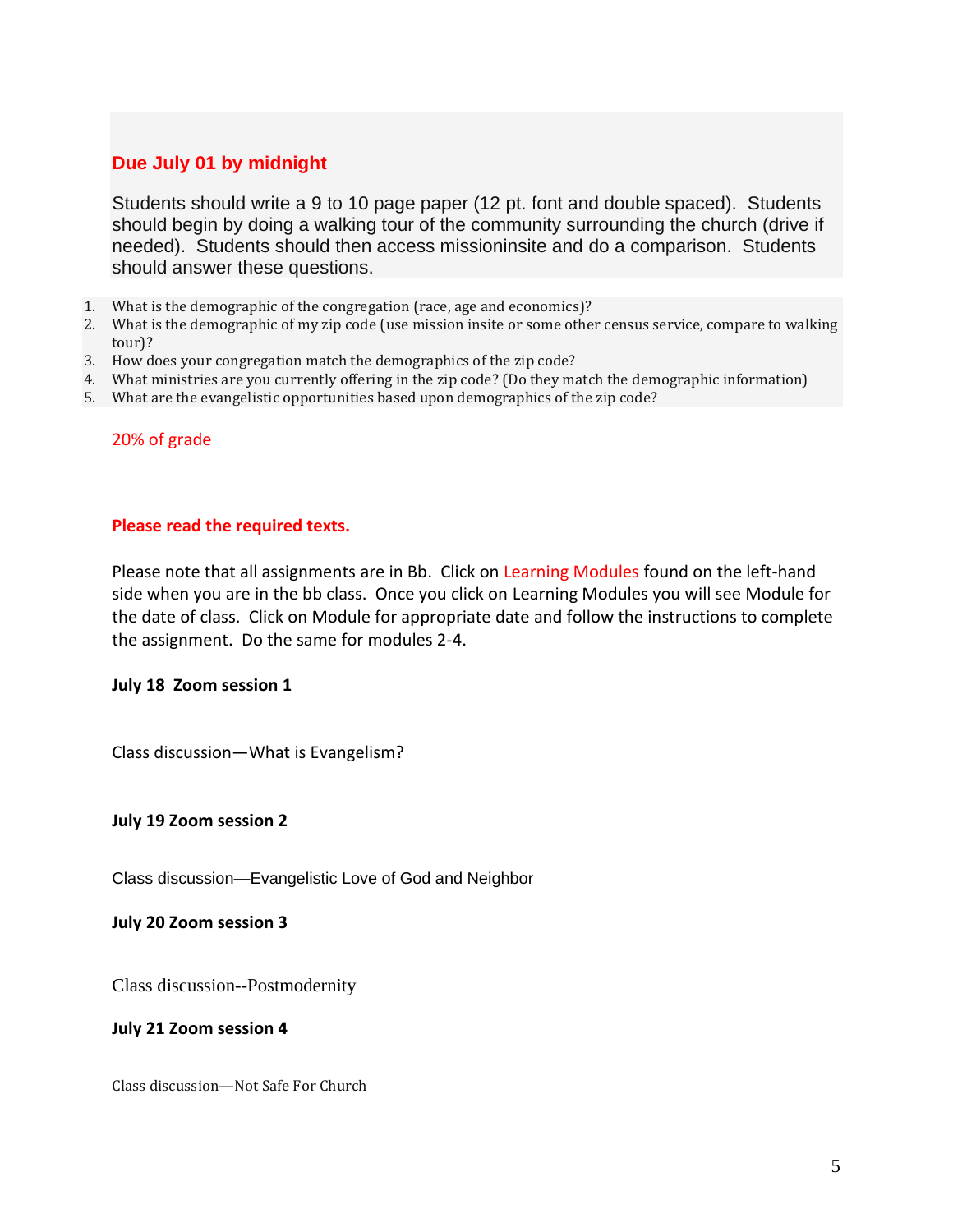# **Due July 01 by midnight**

Students should write a 9 to 10 page paper (12 pt. font and double spaced). Students should begin by doing a walking tour of the community surrounding the church (drive if needed). Students should then access missioninsite and do a comparison. Students should answer these questions.

- 1. What is the demographic of the congregation (race, age and economics)?
- 2. What is the demographic of my zip code (use mission insite or some other census service, compare to walking tour)?
- 3. How does your congregation match the demographics of the zip code?
- 4. What ministries are you currently offering in the zip code? (Do they match the demographic information)
- 5. What are the evangelistic opportunities based upon demographics of the zip code?

#### 20% of grade

#### **Please read the required texts.**

Please note that all assignments are in Bb. Click on Learning Modules found on the left-hand side when you are in the bb class. Once you click on Learning Modules you will see Module for the date of class. Click on Module for appropriate date and follow the instructions to complete the assignment. Do the same for modules 2-4.

#### **July 18 Zoom session 1**

Class discussion—What is Evangelism?

#### **July 19 Zoom session 2**

Class discussion—Evangelistic Love of God and Neighbor

**July 20 Zoom session 3**

Class discussion--Postmodernity

#### **July 21 Zoom session 4**

Class discussion—Not Safe For Church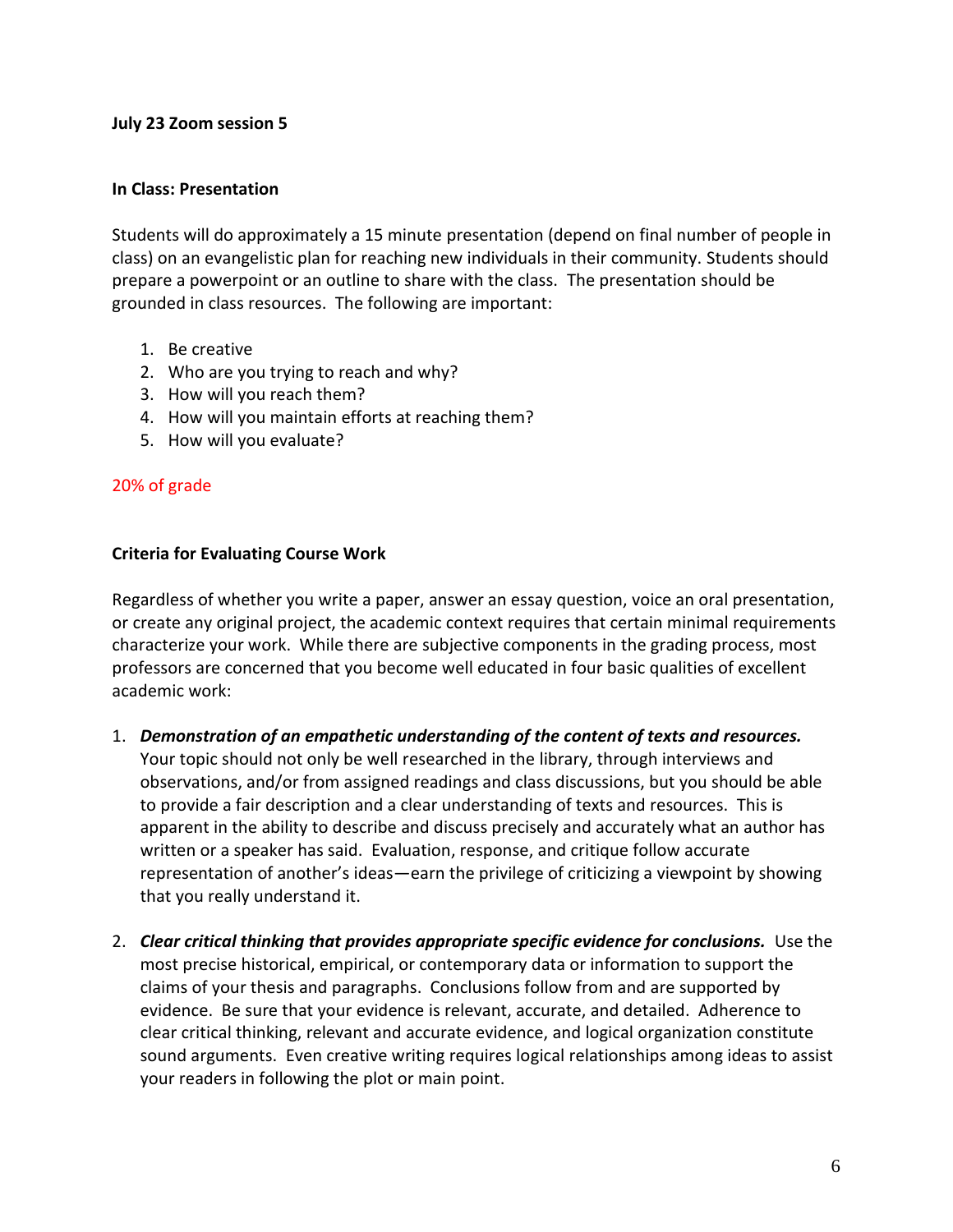#### **July 23 Zoom session 5**

#### **In Class: Presentation**

Students will do approximately a 15 minute presentation (depend on final number of people in class) on an evangelistic plan for reaching new individuals in their community. Students should prepare a powerpoint or an outline to share with the class. The presentation should be grounded in class resources. The following are important:

- 1. Be creative
- 2. Who are you trying to reach and why?
- 3. How will you reach them?
- 4. How will you maintain efforts at reaching them?
- 5. How will you evaluate?

### 20% of grade

#### **Criteria for Evaluating Course Work**

Regardless of whether you write a paper, answer an essay question, voice an oral presentation, or create any original project, the academic context requires that certain minimal requirements characterize your work. While there are subjective components in the grading process, most professors are concerned that you become well educated in four basic qualities of excellent academic work:

- 1. *Demonstration of an empathetic understanding of the content of texts and resources.* Your topic should not only be well researched in the library, through interviews and observations, and/or from assigned readings and class discussions, but you should be able to provide a fair description and a clear understanding of texts and resources. This is apparent in the ability to describe and discuss precisely and accurately what an author has written or a speaker has said. Evaluation, response, and critique follow accurate representation of another's ideas—earn the privilege of criticizing a viewpoint by showing that you really understand it.
- 2. *Clear critical thinking that provides appropriate specific evidence for conclusions.* Use the most precise historical, empirical, or contemporary data or information to support the claims of your thesis and paragraphs. Conclusions follow from and are supported by evidence. Be sure that your evidence is relevant, accurate, and detailed. Adherence to clear critical thinking, relevant and accurate evidence, and logical organization constitute sound arguments. Even creative writing requires logical relationships among ideas to assist your readers in following the plot or main point.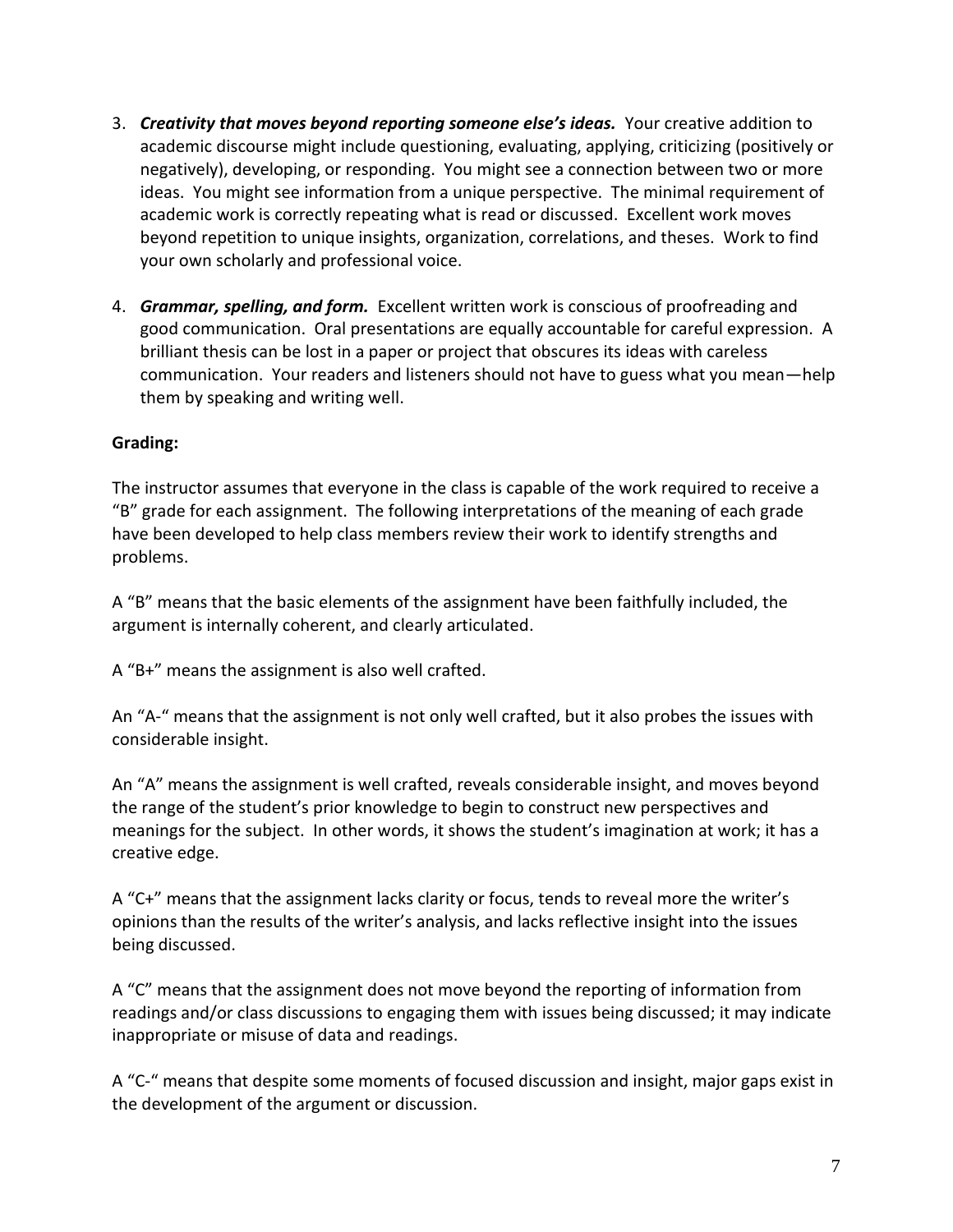- 3. *Creativity that moves beyond reporting someone else's ideas.* Your creative addition to academic discourse might include questioning, evaluating, applying, criticizing (positively or negatively), developing, or responding. You might see a connection between two or more ideas. You might see information from a unique perspective. The minimal requirement of academic work is correctly repeating what is read or discussed. Excellent work moves beyond repetition to unique insights, organization, correlations, and theses. Work to find your own scholarly and professional voice.
- 4. *Grammar, spelling, and form.* Excellent written work is conscious of proofreading and good communication. Oral presentations are equally accountable for careful expression. A brilliant thesis can be lost in a paper or project that obscures its ideas with careless communication. Your readers and listeners should not have to guess what you mean—help them by speaking and writing well.

# **Grading:**

The instructor assumes that everyone in the class is capable of the work required to receive a "B" grade for each assignment. The following interpretations of the meaning of each grade have been developed to help class members review their work to identify strengths and problems.

A "B" means that the basic elements of the assignment have been faithfully included, the argument is internally coherent, and clearly articulated.

A "B+" means the assignment is also well crafted.

An "A-" means that the assignment is not only well crafted, but it also probes the issues with considerable insight.

An "A" means the assignment is well crafted, reveals considerable insight, and moves beyond the range of the student's prior knowledge to begin to construct new perspectives and meanings for the subject. In other words, it shows the student's imagination at work; it has a creative edge.

A "C+" means that the assignment lacks clarity or focus, tends to reveal more the writer's opinions than the results of the writer's analysis, and lacks reflective insight into the issues being discussed.

A "C" means that the assignment does not move beyond the reporting of information from readings and/or class discussions to engaging them with issues being discussed; it may indicate inappropriate or misuse of data and readings.

A "C-" means that despite some moments of focused discussion and insight, major gaps exist in the development of the argument or discussion.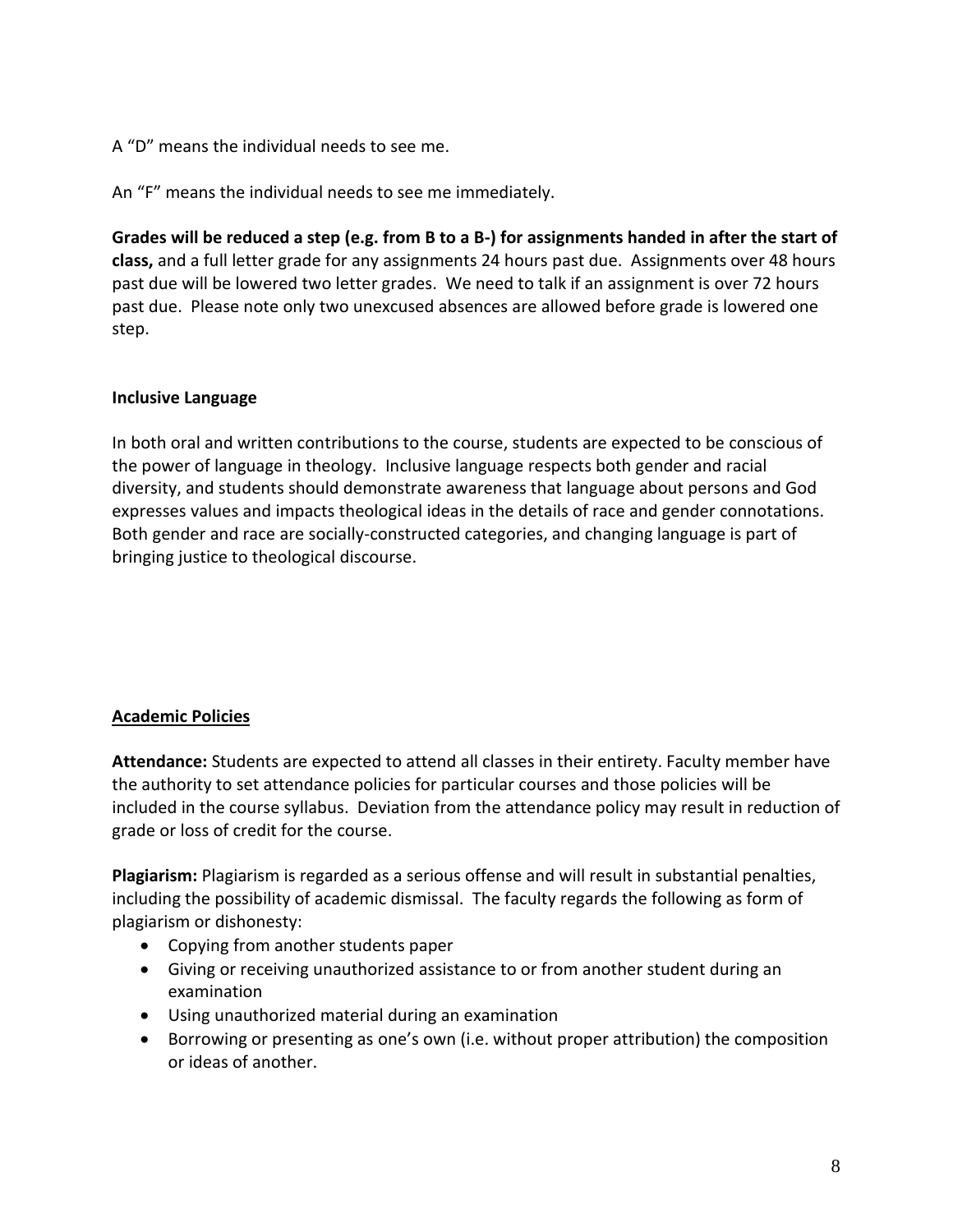A "D" means the individual needs to see me.

An "F" means the individual needs to see me immediately.

**Grades will be reduced a step (e.g. from B to a B-) for assignments handed in after the start of class,** and a full letter grade for any assignments 24 hours past due. Assignments over 48 hours past due will be lowered two letter grades. We need to talk if an assignment is over 72 hours past due. Please note only two unexcused absences are allowed before grade is lowered one step.

### **Inclusive Language**

In both oral and written contributions to the course, students are expected to be conscious of the power of language in theology. Inclusive language respects both gender and racial diversity, and students should demonstrate awareness that language about persons and God expresses values and impacts theological ideas in the details of race and gender connotations. Both gender and race are socially-constructed categories, and changing language is part of bringing justice to theological discourse.

# **Academic Policies**

**Attendance:** Students are expected to attend all classes in their entirety. Faculty member have the authority to set attendance policies for particular courses and those policies will be included in the course syllabus. Deviation from the attendance policy may result in reduction of grade or loss of credit for the course.

**Plagiarism:** Plagiarism is regarded as a serious offense and will result in substantial penalties, including the possibility of academic dismissal. The faculty regards the following as form of plagiarism or dishonesty:

- Copying from another students paper
- Giving or receiving unauthorized assistance to or from another student during an examination
- Using unauthorized material during an examination
- Borrowing or presenting as one's own (i.e. without proper attribution) the composition or ideas of another.